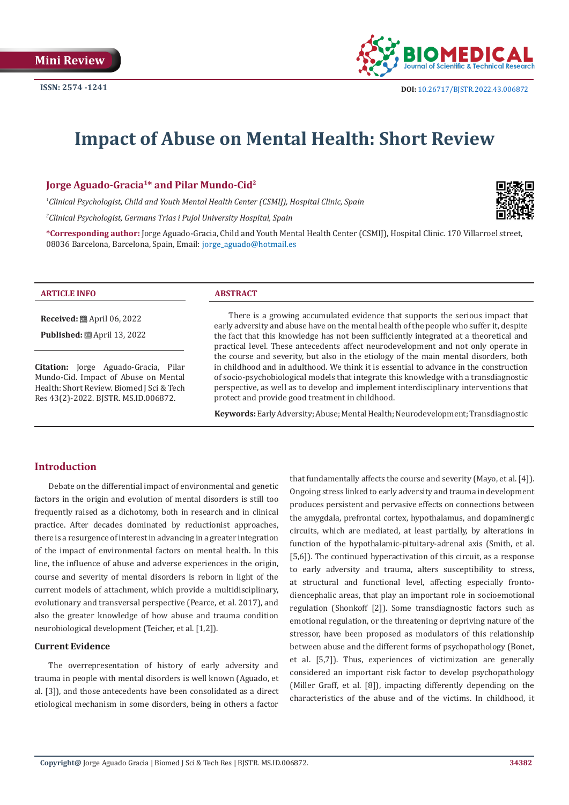

# **Impact of Abuse on Mental Health: Short Review**

**Jorge Aguado-Gracia1\* and Pilar Mundo-Cid2**

*1 Clinical Psychologist, Child and Youth Mental Health Center (CSMIJ), Hospital Clinic, Spain* 

*2 Clinical Psychologist, Germans Trias i Pujol University Hospital, Spain*

**\*Corresponding author:** Jorge Aguado-Gracia, Child and Youth Mental Health Center (CSMIJ), Hospital Clinic. 170 Villarroel street, 08036 Barcelona, Barcelona, Spain, Email: jorge\_aguado@hotmail.es

#### **ARTICLE INFO ABSTRACT**

**Received:** April 06, 2022

**Published:** ■ April 13, 2022

**Citation:** Jorge Aguado-Gracia, Pilar Mundo-Cid. Impact of Abuse on Mental Health: Short Review. Biomed J Sci & Tech Res 43(2)-2022. BJSTR. MS.ID.006872.

There is a growing accumulated evidence that supports the serious impact that early adversity and abuse have on the mental health of the people who suffer it, despite the fact that this knowledge has not been sufficiently integrated at a theoretical and practical level. These antecedents affect neurodevelopment and not only operate in the course and severity, but also in the etiology of the main mental disorders, both in childhood and in adulthood. We think it is essential to advance in the construction of socio-psychobiological models that integrate this knowledge with a transdiagnostic perspective, as well as to develop and implement interdisciplinary interventions that protect and provide good treatment in childhood.

**Keywords:** Early Adversity; Abuse; Mental Health; Neurodevelopment; Transdiagnostic

# **Introduction**

Debate on the differential impact of environmental and genetic factors in the origin and evolution of mental disorders is still too frequently raised as a dichotomy, both in research and in clinical practice. After decades dominated by reductionist approaches, there is a resurgence of interest in advancing in a greater integration of the impact of environmental factors on mental health. In this line, the influence of abuse and adverse experiences in the origin, course and severity of mental disorders is reborn in light of the current models of attachment, which provide a multidisciplinary, evolutionary and transversal perspective (Pearce, et al. 2017), and also the greater knowledge of how abuse and trauma condition neurobiological development (Teicher, et al. [1,2]).

#### **Current Evidence**

The overrepresentation of history of early adversity and trauma in people with mental disorders is well known (Aguado, et al. [3]), and those antecedents have been consolidated as a direct etiological mechanism in some disorders, being in others a factor

that fundamentally affects the course and severity (Mayo, et al. [4]). Ongoing stress linked to early adversity and trauma in development produces persistent and pervasive effects on connections between the amygdala, prefrontal cortex, hypothalamus, and dopaminergic circuits, which are mediated, at least partially, by alterations in function of the hypothalamic-pituitary-adrenal axis (Smith, et al. [5,6]). The continued hyperactivation of this circuit, as a response to early adversity and trauma, alters susceptibility to stress, at structural and functional level, affecting especially frontodiencephalic areas, that play an important role in socioemotional regulation (Shonkoff [2]). Some transdiagnostic factors such as emotional regulation, or the threatening or depriving nature of the stressor, have been proposed as modulators of this relationship between abuse and the different forms of psychopathology (Bonet, et al. [5,7]). Thus, experiences of victimization are generally considered an important risk factor to develop psychopathology (Miller Graff, et al. [8]), impacting differently depending on the characteristics of the abuse and of the victims. In childhood, it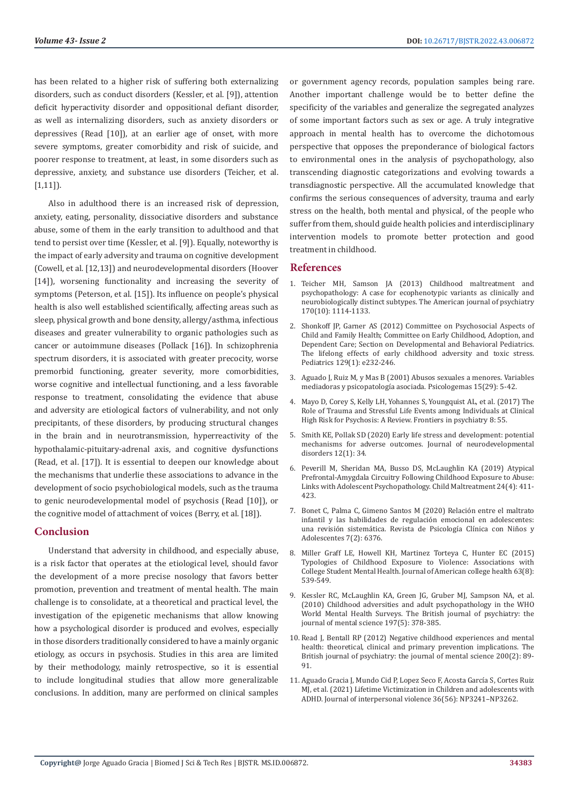has been related to a higher risk of suffering both externalizing disorders, such as conduct disorders (Kessler, et al. [9]), attention deficit hyperactivity disorder and oppositional defiant disorder, as well as internalizing disorders, such as anxiety disorders or depressives (Read [10]), at an earlier age of onset, with more severe symptoms, greater comorbidity and risk of suicide, and poorer response to treatment, at least, in some disorders such as depressive, anxiety, and substance use disorders (Teicher, et al. [1,11]).

Also in adulthood there is an increased risk of depression, anxiety, eating, personality, dissociative disorders and substance abuse, some of them in the early transition to adulthood and that tend to persist over time (Kessler, et al. [9]). Equally, noteworthy is the impact of early adversity and trauma on cognitive development (Cowell, et al. [12,13]) and neurodevelopmental disorders (Hoover [14]), worsening functionality and increasing the severity of symptoms (Peterson, et al. [15]). Its influence on people's physical health is also well established scientifically, affecting areas such as sleep, physical growth and bone density, allergy/asthma, infectious diseases and greater vulnerability to organic pathologies such as cancer or autoimmune diseases (Pollack [16]). In schizophrenia spectrum disorders, it is associated with greater precocity, worse premorbid functioning, greater severity, more comorbidities, worse cognitive and intellectual functioning, and a less favorable response to treatment, consolidating the evidence that abuse and adversity are etiological factors of vulnerability, and not only precipitants, of these disorders, by producing structural changes in the brain and in neurotransmission, hyperreactivity of the hypothalamic-pituitary-adrenal axis, and cognitive dysfunctions (Read, et al. [17]). It is essential to deepen our knowledge about the mechanisms that underlie these associations to advance in the development of socio psychobiological models, such as the trauma to genic neurodevelopmental model of psychosis (Read [10]), or the cognitive model of attachment of voices (Berry, et al. [18]).

## **Conclusion**

Understand that adversity in childhood, and especially abuse, is a risk factor that operates at the etiological level, should favor the development of a more precise nosology that favors better promotion, prevention and treatment of mental health. The main challenge is to consolidate, at a theoretical and practical level, the investigation of the epigenetic mechanisms that allow knowing how a psychological disorder is produced and evolves, especially in those disorders traditionally considered to have a mainly organic etiology, as occurs in psychosis. Studies in this area are limited by their methodology, mainly retrospective, so it is essential to include longitudinal studies that allow more generalizable conclusions. In addition, many are performed on clinical samples or government agency records, population samples being rare. Another important challenge would be to better define the specificity of the variables and generalize the segregated analyzes of some important factors such as sex or age. A truly integrative approach in mental health has to overcome the dichotomous perspective that opposes the preponderance of biological factors to environmental ones in the analysis of psychopathology, also transcending diagnostic categorizations and evolving towards a transdiagnostic perspective. All the accumulated knowledge that confirms the serious consequences of adversity, trauma and early stress on the health, both mental and physical, of the people who suffer from them, should guide health policies and interdisciplinary intervention models to promote better protection and good treatment in childhood.

# **References**

- 1. [Teicher MH, Samson JA \(2013\) Childhood maltreatment and](https://ajp.psychiatryonline.org/doi/10.1176/appi.ajp.2013.12070957) [psychopathology: A case for ecophenotypic variants as clinically and](https://ajp.psychiatryonline.org/doi/10.1176/appi.ajp.2013.12070957) [neurobiologically distinct subtypes. The American journal of psychiatry](https://ajp.psychiatryonline.org/doi/10.1176/appi.ajp.2013.12070957) [170\(10\): 1114-1133.](https://ajp.psychiatryonline.org/doi/10.1176/appi.ajp.2013.12070957)
- 2. [Shonkoff JP, Garner AS \(2012\) Committee on Psychosocial Aspects of](https://pubmed.ncbi.nlm.nih.gov/22201156/) [Child and Family Health; Committee on Early Childhood, Adoption, and](https://pubmed.ncbi.nlm.nih.gov/22201156/) [Dependent Care; Section on Developmental and Behavioral Pediatrics.](https://pubmed.ncbi.nlm.nih.gov/22201156/) [The lifelong effects of early childhood adversity and toxic stress.](https://pubmed.ncbi.nlm.nih.gov/22201156/) [Pediatrics 129\(1\): e232-246.](https://pubmed.ncbi.nlm.nih.gov/22201156/)
- 3. Aguado J, Ruiz M, y Mas B (2001) Abusos sexuales a menores. Variables mediadoras y psicopatología asociada. Psicologemas 15(29): 5-42.
- 4. [Mayo D, Corey S, Kelly LH, Yohannes S, Youngquist AL, et al. \(2017\) The](https://pubmed.ncbi.nlm.nih.gov/28473776/) [Role of Trauma and Stressful Life Events among Individuals at Clinical](https://pubmed.ncbi.nlm.nih.gov/28473776/) [High Risk for Psychosis: A Review. Frontiers in psychiatry 8: 55.](https://pubmed.ncbi.nlm.nih.gov/28473776/)
- 5. [Smith KE, Pollak SD \(2020\) Early life stress and development: potential](https://jneurodevdisorders.biomedcentral.com/articles/10.1186/s11689-020-09337-y) [mechanisms for adverse outcomes. Journal of neurodevelopmental](https://jneurodevdisorders.biomedcentral.com/articles/10.1186/s11689-020-09337-y) [disorders 12\(1\): 34.](https://jneurodevdisorders.biomedcentral.com/articles/10.1186/s11689-020-09337-y)
- 6. [Peverill M, Sheridan MA, Busso DS, McLaughlin KA \(2019\) Atypical](https://pubmed.ncbi.nlm.nih.gov/31146576/) [Prefrontal-Amygdala Circuitry Following Childhood Exposure to Abuse:](https://pubmed.ncbi.nlm.nih.gov/31146576/) [Links with Adolescent Psychopathology. Child Maltreatment 24\(4\): 411-](https://pubmed.ncbi.nlm.nih.gov/31146576/) [423.](https://pubmed.ncbi.nlm.nih.gov/31146576/)
- 7. [Bonet C, Palma C, Gimeno Santos M \(2020\) Relación entre el maltrato](https://www.researchgate.net/publication/346366069_Relacion_entre_el_maltrato_infantil_y_las_habilidades_de_regulacion_emocional_en_adolescentes_una_revision_sistematica) [infantil y las habilidades de regulación emocional en adolescentes:](https://www.researchgate.net/publication/346366069_Relacion_entre_el_maltrato_infantil_y_las_habilidades_de_regulacion_emocional_en_adolescentes_una_revision_sistematica) [una revisión sistemática. Revista de Psicología Clínica con Niños y](https://www.researchgate.net/publication/346366069_Relacion_entre_el_maltrato_infantil_y_las_habilidades_de_regulacion_emocional_en_adolescentes_una_revision_sistematica) [Adolescentes 7\(2\): 6376.](https://www.researchgate.net/publication/346366069_Relacion_entre_el_maltrato_infantil_y_las_habilidades_de_regulacion_emocional_en_adolescentes_una_revision_sistematica)
- 8. [Miller Graff LE, Howell KH, Martinez Torteya C, Hunter EC \(2015\)](https://www.tandfonline.com/doi/full/10.1080/07448481.2015.1057145) [Typologies of Childhood Exposure to Violence: Associations with](https://www.tandfonline.com/doi/full/10.1080/07448481.2015.1057145) [College Student Mental Health. Journal of American college health 63\(8\):](https://www.tandfonline.com/doi/full/10.1080/07448481.2015.1057145) [539-549.](https://www.tandfonline.com/doi/full/10.1080/07448481.2015.1057145)
- 9. [Kessler RC, McLaughlin KA, Green JG, Gruber MJ, Sampson NA, et al.](https://pubmed.ncbi.nlm.nih.gov/21037215/) [\(2010\) Childhood adversities and adult psychopathology in the WHO](https://pubmed.ncbi.nlm.nih.gov/21037215/) [World Mental Health Surveys. The British journal of psychiatry: the](https://pubmed.ncbi.nlm.nih.gov/21037215/) [journal of mental science 197\(5\): 378-385.](https://pubmed.ncbi.nlm.nih.gov/21037215/)
- 10. [Read J, Bentall RP \(2012\) Negative childhood experiences and mental](https://www.cambridge.org/core/journals/the-british-journal-of-psychiatry/article/negative-childhood-experiences-and-mental-health-theoretical-clinical-and-primary-prevention-implications/78B505A072BDA2CE1096BE24C847581C) [health: theoretical, clinical and primary prevention implications. The](https://www.cambridge.org/core/journals/the-british-journal-of-psychiatry/article/negative-childhood-experiences-and-mental-health-theoretical-clinical-and-primary-prevention-implications/78B505A072BDA2CE1096BE24C847581C) [British journal of psychiatry: the journal of mental science 200\(2\): 89-](https://www.cambridge.org/core/journals/the-british-journal-of-psychiatry/article/negative-childhood-experiences-and-mental-health-theoretical-clinical-and-primary-prevention-implications/78B505A072BDA2CE1096BE24C847581C) [91.](https://www.cambridge.org/core/journals/the-british-journal-of-psychiatry/article/negative-childhood-experiences-and-mental-health-theoretical-clinical-and-primary-prevention-implications/78B505A072BDA2CE1096BE24C847581C)
- 11. [Aguado Gracia J, Mundo Cid P, Lopez Seco F, Acosta García S, Cortes Ruiz](https://pubmed.ncbi.nlm.nih.gov/29683076/) [MJ, et al. \(2021\) Lifetime Victimization in Children and adolescents with](https://pubmed.ncbi.nlm.nih.gov/29683076/) [ADHD. Journal of interpersonal violence 36\(56\): NP3241–NP3262.](https://pubmed.ncbi.nlm.nih.gov/29683076/)